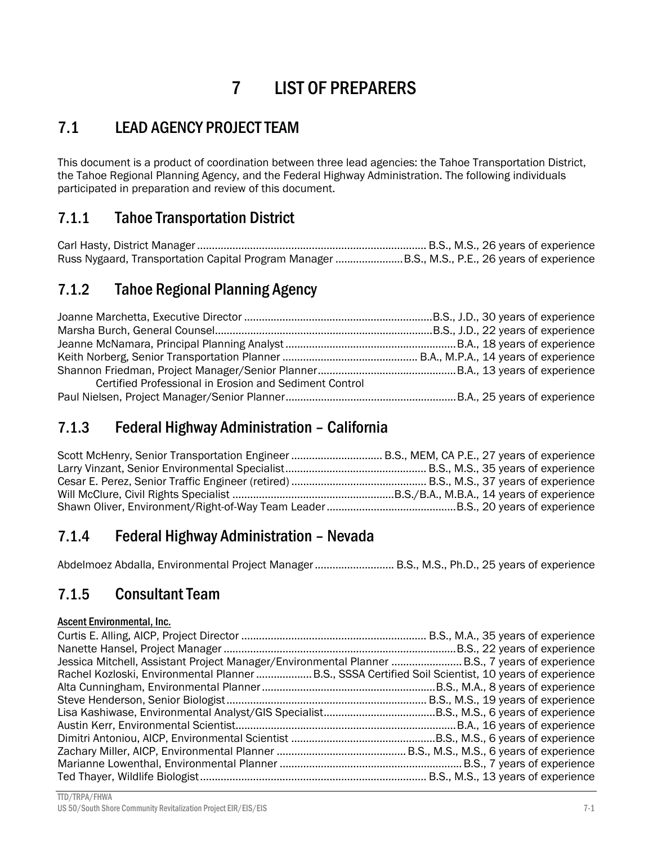# 7 LIST OF PREPARERS

# 7.1 LEAD AGENCY PROJECT TEAM

This document is a product of coordination between three lead agencies: the Tahoe Transportation District, the Tahoe Regional Planning Agency, and the Federal Highway Administration. The following individuals participated in preparation and review of this document.

### 7.1.1 Tahoe Transportation District

Carl Hasty, District Manager .............................................................................. B.S., M.S., 26 years of experience Russ Nygaard, Transportation Capital Program Manager ....................... B.S., M.S., P.E., 26 years of experience

### 7.1.2 Tahoe Regional Planning Agency

| Certified Professional in Erosion and Sediment Control |  |
|--------------------------------------------------------|--|
|                                                        |  |

#### 7.1.3 Federal Highway Administration – California

| Scott McHenry, Senior Transportation Engineer  B.S., MEM, CA P.E., 27 years of experience |  |
|-------------------------------------------------------------------------------------------|--|
|                                                                                           |  |
|                                                                                           |  |
|                                                                                           |  |
|                                                                                           |  |

#### 7.1.4 Federal Highway Administration – Nevada

Abdelmoez Abdalla, Environmental Project Manager ........................... B.S., M.S., Ph.D., 25 years of experience

#### 7.1.5 Consultant Team

#### Ascent Environmental, Inc.

| Jessica Mitchell, Assistant Project Manager/Environmental Planner  B.S., 7 years of experience     |  |
|----------------------------------------------------------------------------------------------------|--|
| Rachel Kozloski, Environmental Planner B.S., SSSA Certified Soil Scientist, 10 years of experience |  |
|                                                                                                    |  |
|                                                                                                    |  |
|                                                                                                    |  |
|                                                                                                    |  |
|                                                                                                    |  |
|                                                                                                    |  |
|                                                                                                    |  |
|                                                                                                    |  |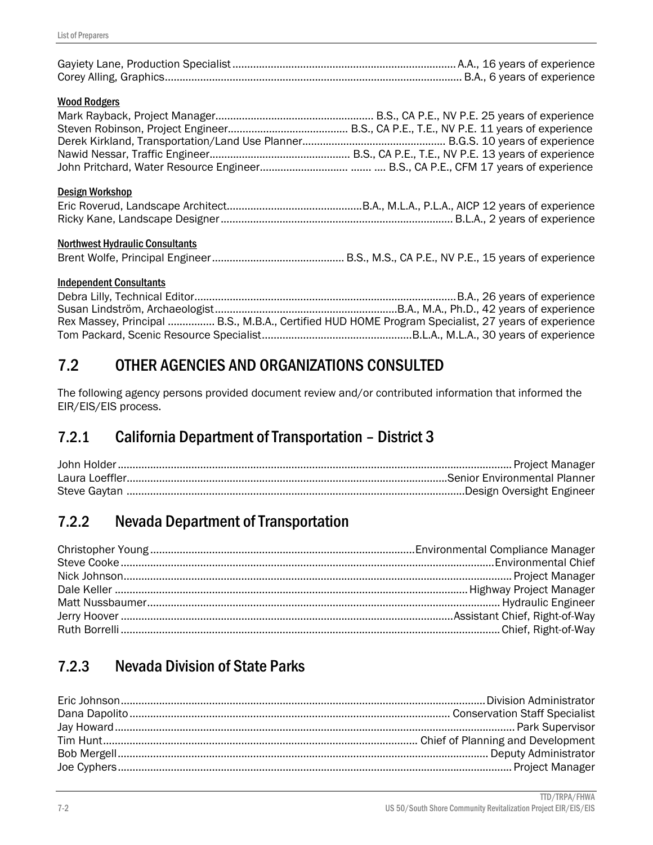| <b>Wood Rodgers</b>                    |  |
|----------------------------------------|--|
| Design Workshop                        |  |
| <b>Northwest Hydraulic Consultants</b> |  |
| <b>Independent Consultants</b>         |  |
|                                        |  |

Debra Lilly, Technical Editor ......................................................................................... B.A., 26 years of experience Susan Lindström, Archaeologist .............................................................. B.A., M.A., Ph.D., 42 years of experience Rex Massey, Principal ................. B.S., M.B.A., Certified HUD HOME Program Specialist, 27 years of experience Tom Packard, Scenic Resource Specialist ................................................... B.L.A., M.L.A., 30 years of experience

# 7.2 OTHER AGENCIES AND ORGANIZATIONS CONSULTED

The following agency persons provided document review and/or contributed information that informed the EIR/EIS/EIS process.

# 7.2.1 California Department of Transportation – District 3

# 7.2.2 Nevada Department of Transportation

# 7.2.3 Nevada Division of State Parks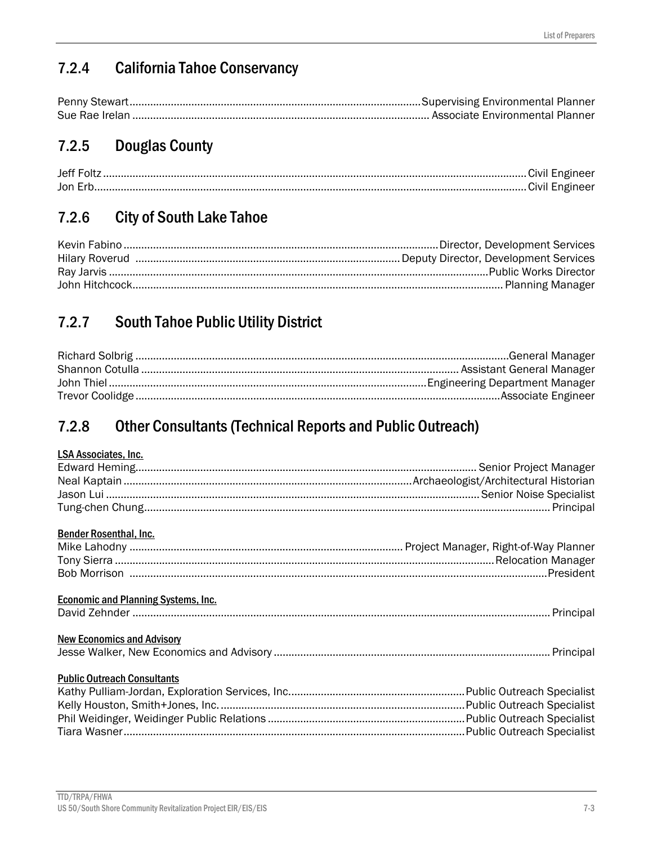# 7.2.4 California Tahoe Conservancy

# 7.2.5 Douglas County

| Jon Erk |  |
|---------|--|

# 7.2.6 City of South Lake Tahoe

# 7.2.7 South Tahoe Public Utility District

# 7.2.8 Other Consultants (Technical Reports and Public Outreach)

#### LSA Associates, Inc.

| <b>Bender Rosenthal, Inc.</b>              |  |
|--------------------------------------------|--|
|                                            |  |
|                                            |  |
|                                            |  |
| <b>Economic and Planning Systems, Inc.</b> |  |
|                                            |  |
|                                            |  |
| <b>New Economics and Advisory</b>          |  |
|                                            |  |
|                                            |  |
| <b>Public Outreach Consultants</b>         |  |
|                                            |  |
|                                            |  |
|                                            |  |
|                                            |  |